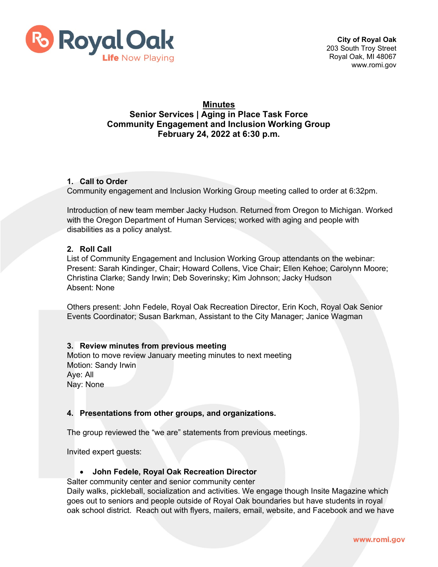

# **Minutes Senior Services | Aging in Place Task Force Community Engagement and Inclusion Working Group February 24, 2022 at 6:30 p.m.**

### **1. Call to Order**

Community engagement and Inclusion Working Group meeting called to order at 6:32pm.

Introduction of new team member Jacky Hudson. Returned from Oregon to Michigan. Worked with the Oregon Department of Human Services; worked with aging and people with disabilities as a policy analyst.

### **2. Roll Call**

List of Community Engagement and Inclusion Working Group attendants on the webinar: Present: Sarah Kindinger, Chair; Howard Collens, Vice Chair; Ellen Kehoe; Carolynn Moore; Christina Clarke; Sandy Irwin; Deb Soverinsky; Kim Johnson; Jacky Hudson Absent: None

Others present: John Fedele, Royal Oak Recreation Director, Erin Koch, Royal Oak Senior Events Coordinator; Susan Barkman, Assistant to the City Manager; Janice Wagman

### **3. Review minutes from previous meeting**

Motion to move review January meeting minutes to next meeting Motion: Sandy Irwin Aye: All Nay: None

### **4. Presentations from other groups, and organizations.**

The group reviewed the "we are" statements from previous meetings.

Invited expert guests:

### • **John Fedele, Royal Oak Recreation Director**

Salter community center and senior community center

Daily walks, pickleball, socialization and activities. We engage though Insite Magazine which goes out to seniors and people outside of Royal Oak boundaries but have students in royal oak school district. Reach out with flyers, mailers, email, website, and Facebook and we have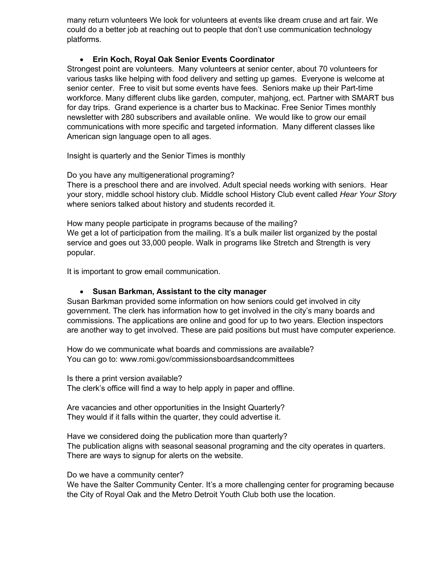many return volunteers We look for volunteers at events like dream cruse and art fair. We could do a better job at reaching out to people that don't use communication technology platforms.

# • **Erin Koch, Royal Oak Senior Events Coordinator**

Strongest point are volunteers. Many volunteers at senior center, about 70 volunteers for various tasks like helping with food delivery and setting up games. Everyone is welcome at senior center. Free to visit but some events have fees. Seniors make up their Part-time workforce. Many different clubs like garden, computer, mahjong, ect. Partner with SMART bus for day trips. Grand experience is a charter bus to Mackinac. Free Senior Times monthly newsletter with 280 subscribers and available online. We would like to grow our email communications with more specific and targeted information. Many different classes like American sign language open to all ages.

Insight is quarterly and the Senior Times is monthly

Do you have any multigenerational programing?

There is a preschool there and are involved. Adult special needs working with seniors. Hear your story, middle school history club. Middle school History Club event called *Hear Your Story* where seniors talked about history and students recorded it.

How many people participate in programs because of the mailing? We get a lot of participation from the mailing. It's a bulk mailer list organized by the postal service and goes out 33,000 people. Walk in programs like Stretch and Strength is very popular.

It is important to grow email communication.

### • **Susan Barkman, Assistant to the city manager**

Susan Barkman provided some information on how seniors could get involved in city government. The clerk has information how to get involved in the city's many boards and commissions. The applications are online and good for up to two years. Election inspectors are another way to get involved. These are paid positions but must have computer experience.

How do we communicate what boards and commissions are available? You can go to: www.romi.gov/commissionsboardsandcommittees

Is there a print version available? The clerk's office will find a way to help apply in paper and offline.

Are vacancies and other opportunities in the Insight Quarterly? They would if it falls within the quarter, they could advertise it.

Have we considered doing the publication more than quarterly? The publication aligns with seasonal seasonal programing and the city operates in quarters. There are ways to signup for alerts on the website.

Do we have a community center?

We have the Salter Community Center. It's a more challenging center for programing because the City of Royal Oak and the Metro Detroit Youth Club both use the location.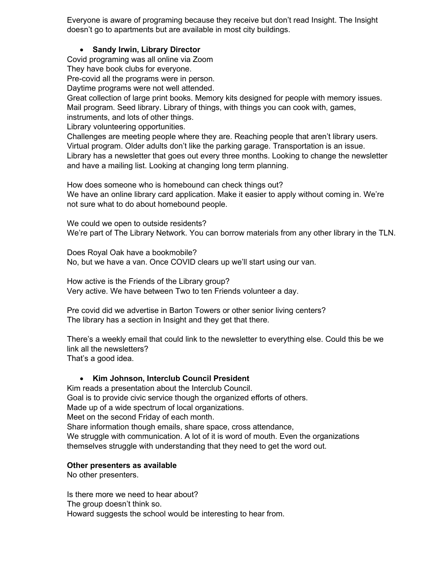Everyone is aware of programing because they receive but don't read Insight. The Insight doesn't go to apartments but are available in most city buildings.

# • **Sandy Irwin, Library Director**

Covid programing was all online via Zoom

They have book clubs for everyone.

Pre-covid all the programs were in person.

Daytime programs were not well attended.

Great collection of large print books. Memory kits designed for people with memory issues. Mail program. Seed library. Library of things, with things you can cook with, games, instruments, and lots of other things.

Library volunteering opportunities.

Challenges are meeting people where they are. Reaching people that aren't library users. Virtual program. Older adults don't like the parking garage. Transportation is an issue. Library has a newsletter that goes out every three months. Looking to change the newsletter and have a mailing list. Looking at changing long term planning.

How does someone who is homebound can check things out?

We have an online library card application. Make it easier to apply without coming in. We're not sure what to do about homebound people.

We could we open to outside residents? We're part of The Library Network. You can borrow materials from any other library in the TLN.

Does Royal Oak have a bookmobile? No, but we have a van. Once COVID clears up we'll start using our van.

How active is the Friends of the Library group? Very active. We have between Two to ten Friends volunteer a day.

Pre covid did we advertise in Barton Towers or other senior living centers? The library has a section in Insight and they get that there.

There's a weekly email that could link to the newsletter to everything else. Could this be we link all the newsletters? That's a good idea.

### • **Kim Johnson, Interclub Council President**

Kim reads a presentation about the Interclub Council.

Goal is to provide civic service though the organized efforts of others.

Made up of a wide spectrum of local organizations.

Meet on the second Friday of each month.

Share information though emails, share space, cross attendance,

We struggle with communication. A lot of it is word of mouth. Even the organizations themselves struggle with understanding that they need to get the word out.

### **Other presenters as available**

No other presenters.

Is there more we need to hear about? The group doesn't think so. Howard suggests the school would be interesting to hear from.